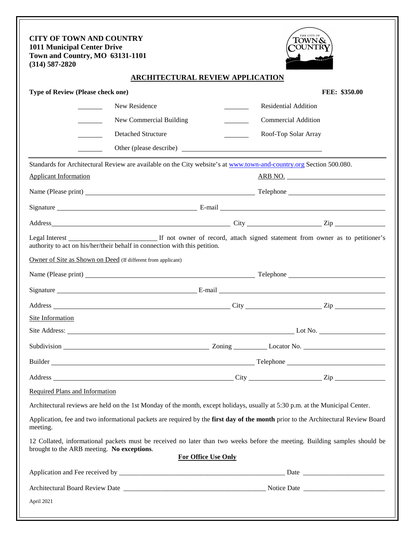| <b>CITY OF TOWN AND COUNTRY</b><br><b>1011 Municipal Center Drive</b><br>Town and Country, MO 63131-1101<br>$(314) 587 - 2820$ |                                         |  | THE CITY OF<br>TOWN&<br><b>'OUNTR</b>                                                                                             |
|--------------------------------------------------------------------------------------------------------------------------------|-----------------------------------------|--|-----------------------------------------------------------------------------------------------------------------------------------|
|                                                                                                                                | <b>ARCHITECTURAL REVIEW APPLICATION</b> |  |                                                                                                                                   |
| Type of Review (Please check one)                                                                                              |                                         |  | <b>FEE: \$350.00</b>                                                                                                              |
| New Residence                                                                                                                  |                                         |  | <b>Residential Addition</b>                                                                                                       |
|                                                                                                                                | New Commercial Building                 |  | <b>Commercial Addition</b>                                                                                                        |
| Detached Structure                                                                                                             |                                         |  | Roof-Top Solar Array                                                                                                              |
|                                                                                                                                | Other (please describe)                 |  |                                                                                                                                   |
| Standards for Architectural Review are available on the City website's at www.town-and-country.org Section 500.080.            |                                         |  |                                                                                                                                   |
| <b>Applicant Information</b>                                                                                                   |                                         |  | ARB NO.                                                                                                                           |
|                                                                                                                                |                                         |  |                                                                                                                                   |
|                                                                                                                                |                                         |  |                                                                                                                                   |
|                                                                                                                                |                                         |  |                                                                                                                                   |
| authority to act on his/her/their behalf in connection with this petition.                                                     |                                         |  |                                                                                                                                   |
| Owner of Site as Shown on Deed (If different from applicant)                                                                   |                                         |  |                                                                                                                                   |
|                                                                                                                                |                                         |  |                                                                                                                                   |
|                                                                                                                                |                                         |  |                                                                                                                                   |
|                                                                                                                                |                                         |  |                                                                                                                                   |
| Site Information                                                                                                               |                                         |  |                                                                                                                                   |
|                                                                                                                                |                                         |  |                                                                                                                                   |
|                                                                                                                                |                                         |  |                                                                                                                                   |
|                                                                                                                                |                                         |  |                                                                                                                                   |
|                                                                                                                                |                                         |  |                                                                                                                                   |
| Required Plans and Information                                                                                                 |                                         |  |                                                                                                                                   |
|                                                                                                                                |                                         |  | Architectural reviews are held on the 1st Monday of the month, except holidays, usually at 5:30 p.m. at the Municipal Center.     |
| meeting.                                                                                                                       |                                         |  | Application, fee and two informational packets are required by the first day of the month prior to the Architectural Review Board |
| brought to the ARB meeting. No exceptions.                                                                                     |                                         |  | 12 Collated, informational packets must be received no later than two weeks before the meeting. Building samples should be        |
|                                                                                                                                | For Office Use Only                     |  |                                                                                                                                   |
|                                                                                                                                |                                         |  |                                                                                                                                   |
|                                                                                                                                |                                         |  |                                                                                                                                   |
| April 2021                                                                                                                     |                                         |  |                                                                                                                                   |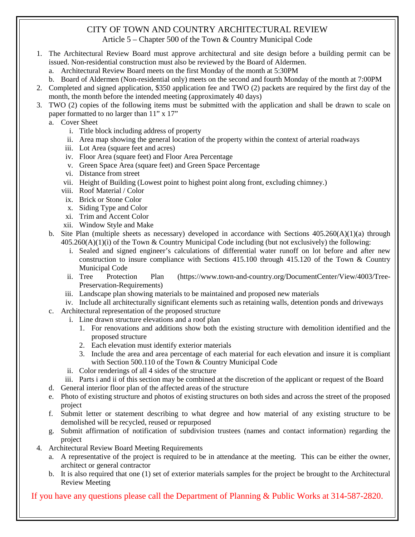# CITY OF TOWN AND COUNTRY ARCHITECTURAL REVIEW

Article 5 – Chapter 500 of the Town & Country Municipal Code

- 1. The Architectural Review Board must approve architectural and site design before a building permit can be issued. Non-residential construction must also be reviewed by the Board of Aldermen.
	- a. Architectural Review Board meets on the first Monday of the month at 5:30PM
	- b. Board of Aldermen (Non-residential only) meets on the second and fourth Monday of the month at 7:00PM
- 2. Completed and signed application, \$350 application fee and TWO (2) packets are required by the first day of the month, the month before the intended meeting (approximately 40 days)
- 3. TWO (2) copies of the following items must be submitted with the application and shall be drawn to scale on paper formatted to no larger than 11" x 17"
	- a. Cover Sheet
		- i. Title block including address of property
		- ii. Area map showing the general location of the property within the context of arterial roadways
		- iii. Lot Area (square feet and acres)
		- iv. Floor Area (square feet) and Floor Area Percentage
		- v. Green Space Area (square feet) and Green Space Percentage
		- vi. Distance from street
		- vii. Height of Building (Lowest point to highest point along front, excluding chimney.)
		- viii. Roof Material / Color
		- ix. Brick or Stone Color
		- x. Siding Type and Color
		- xi. Trim and Accent Color
		- xii. Window Style and Make
	- b. Site Plan (multiple sheets as necessary) developed in accordance with Sections  $405.260(A)(1)(a)$  through 405.260(A)(1)(i) of the Town & Country Municipal Code including (but not exclusively) the following:
		- i. Sealed and signed engineer's calculations of differential water runoff on lot before and after new construction to insure compliance with Sections 415.100 through 415.120 of the Town & Country Municipal Code<br>ii. Tree Protecti
		- Protection Plan (https://www.town-and-country.org/DocumentCenter/View/4003/Tree-Preservation-Requirements)
		- iii. Landscape plan showing materials to be maintained and proposed new materials
		- iv. Include all architecturally significant elements such as retaining walls, detention ponds and driveways
	- c. Architectural representation of the proposed structure
		- i. Line drawn structure elevations and a roof plan
			- 1. For renovations and additions show both the existing structure with demolition identified and the proposed structure
			- 2. Each elevation must identify exterior materials
			- 3. Include the area and area percentage of each material for each elevation and insure it is compliant with Section 500.110 of the Town & Country Municipal Code
		- ii. Color renderings of all 4 sides of the structure
		- iii. Parts i and ii of this section may be combined at the discretion of the applicant or request of the Board
	- d. General interior floor plan of the affected areas of the structure
	- e. Photo of existing structure and photos of existing structures on both sides and across the street of the proposed project
	- f. Submit letter or statement describing to what degree and how material of any existing structure to be demolished will be recycled, reused or repurposed
	- g. Submit affirmation of notification of subdivision trustees (names and contact information) regarding the project
- 4. Architectural Review Board Meeting Requirements
	- a. A representative of the project is required to be in attendance at the meeting. This can be either the owner, architect or general contractor
	- b. It is also required that one (1) set of exterior materials samples for the project be brought to the Architectural Review Meeting

If you have any questions please call the Department of Planning & Public Works at 314-587-2820.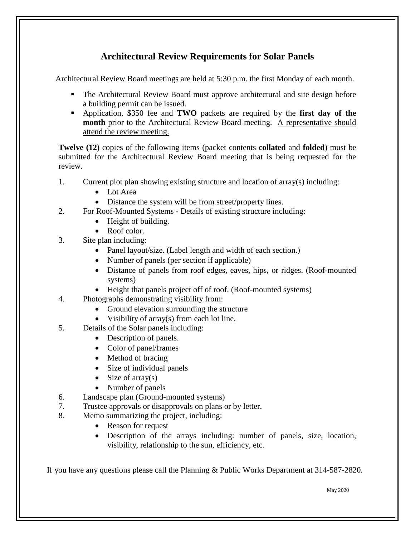## **Architectural Review Requirements for Solar Panels**

Architectural Review Board meetings are held at 5:30 p.m. the first Monday of each month.

- The Architectural Review Board must approve architectural and site design before a building permit can be issued.
- Application, \$350 fee and **TWO** packets are required by the **first day of the month** prior to the Architectural Review Board meeting. A representative should attend the review meeting.

**Twelve (12)** copies of the following items (packet contents **collated** and **folded**) must be submitted for the Architectural Review Board meeting that is being requested for the review.

- 1. Current plot plan showing existing structure and location of array(s) including:
	- Lot Area
	- Distance the system will be from street/property lines.
- 2. For Roof-Mounted Systems Details of existing structure including:
	- Height of building.
	- Roof color.
- 3. Site plan including:
	- Panel layout/size. (Label length and width of each section.)
	- Number of panels (per section if applicable)
	- Distance of panels from roof edges, eaves, hips, or ridges. (Roof-mounted systems)
	- Height that panels project off of roof. (Roof-mounted systems)
- 4. Photographs demonstrating visibility from:
	- Ground elevation surrounding the structure
	- Visibility of array(s) from each lot line.
- 5. Details of the Solar panels including:
	- Description of panels.
	- Color of panel/frames
	- Method of bracing
	- Size of individual panels
	- Size of array(s)
	- Number of panels
- 6. Landscape plan (Ground-mounted systems)
- 7. Trustee approvals or disapprovals on plans or by letter.
- 8. Memo summarizing the project, including:
	- Reason for request
	- Description of the arrays including: number of panels, size, location, visibility, relationship to the sun, efficiency, etc.

If you have any questions please call the Planning & Public Works Department at 314-587-2820.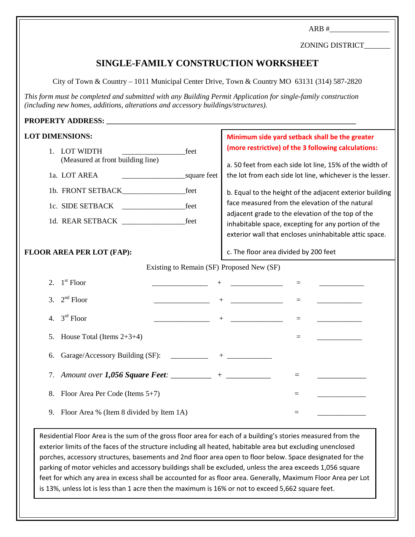$ARB \#$ ZONING DISTRICT\_\_\_\_\_\_\_ **SINGLE-FAMILY CONSTRUCTION WORKSHEET** City of Town & Country – 1011 Municipal Center Drive, Town & Country MO 63131 (314) 587-2820 *This form must be completed and submitted with any Building Permit Application for single-family construction (including new homes, additions, alterations and accessory buildings/structures).* PROPERTY ADDRESS: **LOT DIMENSIONS:** 1. LOT WIDTH feet (Measured at front building line) 1a. LOT AREA \_\_\_\_\_\_\_\_\_\_\_\_\_\_\_\_\_square feet 1b. FRONT SETBACK\_\_\_\_\_\_\_\_\_\_\_\_\_\_\_\_\_feet 1c. SIDE SETBACK \_\_\_\_\_\_\_\_\_\_\_\_\_\_\_\_\_feet 1d. REAR SETBACK feet **FLOOR AREA PER LOT (FAP):** Existing to Remain (SF) Proposed New (SF) 2.  $1^{\text{st}}$  Floor  $+$ 3.  $2^{nd}$  Floor  $\qquad \qquad \qquad$  +  $\qquad \qquad$  = 4.  $3^{rd}$  Floor  $\qquad \qquad \qquad$  +  $\qquad \qquad$  = 5. House Total (Items  $2+3+4$ )  $=$ 6. Garage/Accessory Building (SF):  $+$ 7. Amount over 1,056 Square Feet: \_\_\_\_\_\_\_\_\_\_\_\_ + \_\_\_\_\_\_\_\_\_\_\_\_\_\_\_\_\_\_ = 8. Floor Area Per Code (Items  $5+7$ ) 9. Floor Area % (Item 8 divided by Item  $1A$ )  $=$ **Minimum side yard setback shall be the greater (more restrictive) of the 3 following calculations:** a. 50 feet from each side lot line, 15% of the width of the lot from each side lot line, whichever is the lesser. b. Equal to the height of the adjacent exterior building face measured from the elevation of the natural adjacent grade to the elevation of the top of the inhabitable space, excepting for any portion of the exterior wall that encloses uninhabitable attic space. c. The floor area divided by 200 feet

Residential Floor Area is the sum of the gross floor area for each of a building's stories measured from the exterior limits of the faces of the structure including all heated, habitable area but excluding unenclosed porches, accessory structures, basements and 2nd floor area open to floor below. Space designated for the parking of motor vehicles and accessory buildings shall be excluded, unless the area exceeds 1,056 square feet for which any area in excess shall be accounted for as floor area. Generally, Maximum Floor Area per Lot is 13%, unless lot is less than 1 acre then the maximum is 16% or not to exceed 5,662 square feet.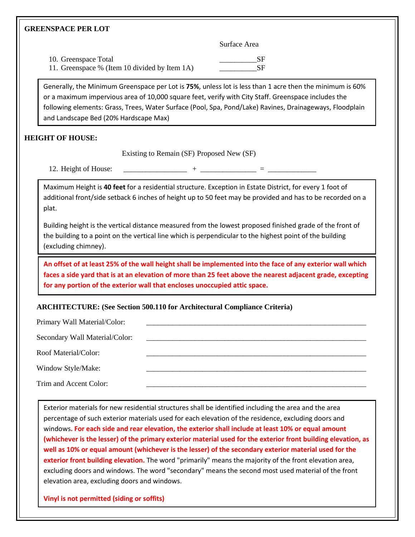#### **GREENSPACE PER LOT**

Surface Area

10. Greenspace Total SF 11. Greenspace % (Item 10 divided by Item 1A) \_\_\_\_\_\_\_\_\_\_SF

Generally, the Minimum Greenspace per Lot is **75%**, unless lot is less than 1 acre then the minimum is 60% or a maximum impervious area of 10,000 square feet, verify with City Staff. Greenspace includes the following elements: Grass, Trees, Water Surface (Pool, Spa, Pond/Lake) Ravines, Drainageways, Floodplain and Landscape Bed (20% Hardscape Max)

### **HEIGHT OF HOUSE:**

Existing to Remain (SF) Proposed New (SF)

12. Height of House: \_\_\_\_\_\_\_\_\_\_\_\_\_\_\_\_\_ + \_\_\_\_\_\_\_\_\_\_\_\_\_\_\_ = \_\_\_\_\_\_\_\_\_\_\_\_\_

Maximum Height is **40 feet** for a residential structure. Exception in Estate District, for every 1 foot of additional front/side setback 6 inches of height up to 50 feet may be provided and has to be recorded on a plat.

Building height is the vertical distance measured from the lowest proposed finished grade of the front of the building to a point on the vertical line which is perpendicular to the highest point of the building (excluding chimney).

**An offset of at least 25% of the wall height shall be implemented into the face of any exterior wall which faces a side yard that is at an elevation of more than 25 feet above the nearest adjacent grade, excepting for any portion of the exterior wall that encloses unoccupied attic space.**

#### **ARCHITECTURE: (See Section 500.110 for Architectural Compliance Criteria)**

| Primary Wall Material/Color:   |  |
|--------------------------------|--|
| Secondary Wall Material/Color: |  |
| Roof Material/Color:           |  |
| Window Style/Make:             |  |
| Trim and Accent Color:         |  |

Exterior materials for new residential structures shall be identified including the area and the area percentage of such exterior materials used for each elevation of the residence, excluding doors and windows**. For each side and rear elevation, the exterior shall include at least 10% or equal amount (whichever is the lesser) of the primary exterior material used for the exterior front building elevation, as well as 10% or equal amount (whichever is the lesser) of the secondary exterior material used for the exterior front building elevation.** The word "primarily" means the majority of the front elevation area, excluding doors and windows. The word "secondary" means the second most used material of the front elevation area, excluding doors and windows.

**Vinyl is not permitted (siding or soffits)**